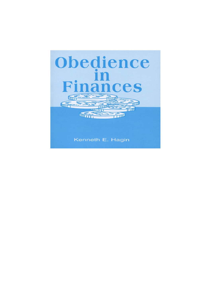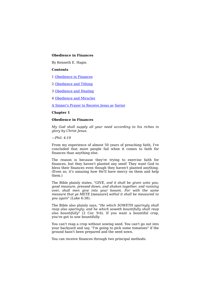#### **Obedience in Finances**

By Kenneth E. Hagin

## **Contents**

- 1 Obedience in Finances
- 2 Obedience and Tithing
- 3 Obedience and Healing
- 4 Obedience and Miracles

A Sinner's Prayer to Receive Jesus as Savior

#### **Chapter 1**

## **Obedience in Finances**

*My God shall supply all your need according to his riches in glory by Christ Jesus.*

*—Phil. 4:19*

From my experience of almost 50 years of preaching faith, I've concluded that more people fail when it comes to faith for finances than anything else.

The reason is because they're trying to exercise faith for finances, but they haven't planted any seed! They want God to bless their finances even though they haven't planted anything. (Even so, it's amazing how He'll have mercy on them and help them.)

The Bible plainly states, *"GIVE, and it shall be given unto you; good measure, pressed down, and shaken together, and running over, shall men give into your bosom. For with the same measure that ye METE* [measure] *withal it shall be measured to you again"* (Luke 6:38).

The Bible also plainly says, *"He which SOWETH sparingly shall reap also sparingly; and he which soweth bountifully shall reap also bountifully"* (2 Cor. 9:6). If you want a bountiful crop, you've got to sow bountifully.

You can't reap a crop without sowing seed. You can't go out into your backyard and say, "I'm going to pick some tomatoes" if the ground hasn't been prepared and the seed sown.

You can receive finances through two principal methods: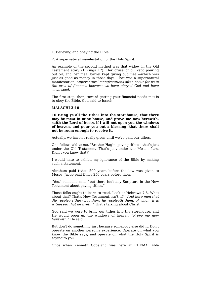- 1. Believing and obeying the Bible.
- 2. A supernatural manifestation of the Holy Spirit.

An example of the second method was that widow in the Old Testament story (1 Kings 17). Her cruse of oil kept pouring out oil, and her meal barrel kept giving out meal—which was just as good as money in those days. That was a supernatural manifestation. *Supernatural manifestations often occur for us in the area of finances because we have obeyed God and have sown seed.*

The first step, then, toward getting your financial needs met is to obey the Bible. God said to Israel:

#### **MALACHI 3:10**

**10 Bring ye all the tithes into the storehouse, that there may be meat in mine house, and prove me now herewith, saith the Lord of hosts, if I will not open you the windows of heaven, and pour you out a blessing, that there shall not be room enough to receive it.**

Actually, we haven't really given until we've paid our tithes.

One fellow said to me, "Brother Hagin, paying tithes—that's just under the Old Testament. That's just under the Mosaic Law. Didn't you know that?"

I would hate to exhibit my ignorance of the Bible by making such a statement.

Abraham paid tithes 500 years before the law was given to Moses. Jacob paid tithes 250 years before then.

"Yes," someone said, "but there isn't any Scripture in the New Testament about paying tithes."

Those folks ought to learn to read. Look at Hebrews 7:8. What about that? That's New Testament, isn't it? " *And here men that die receive tithes; but there he receiveth them, of whom it is witnessed that he liveth."* That's talking about Christ.

God said we were to bring our tithes into the storehouse, and He would open up the windows of heaven. *"Prove me now herewith,"* He said.

But don't do something just because somebody else did it. Don't operate on another person's experience. Operate on what you know the Bible says, and operate on what the Holy Spirit is saying to you.

Once when Kenneth Copeland was here at RHEMA Bible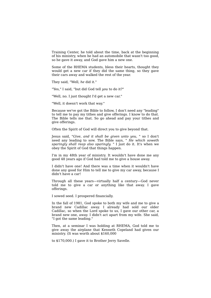Training Center, he told about the time, back at the beginning of his ministry, when he had an automobile that wasn't too good, so he gave it away, and God gave him a new one.

Some of the RHEMA students, bless their hearts, thought they would get a new car if they did the same thing, so they gave their cars away and walked the rest of the year.

They said, "Well, *he* did it."

"Yes," I said, "but did God tell *you* to do it?"

"Well, no. I just thought I'd get a new car."

"Well, it doesn't work that way."

Because we've got the Bible to follow, I don't need any "leading" to tell me to pay my tithes and give offerings. I know to do that. The Bible tells me that. So go ahead and pay your tithes and give offerings.

Often the Spirit of God will direct you to give beyond that.

Jesus said, *"Give, and it shall be given unto you,* " so I don't need any leading to sow. The Bible says, " *He which soweth sparingly shall reap also sparingly.* " I just do it. It's when we obey the Spirit of God that things happen.

I'm in my 48th year of ministry. It wouldn't have done me any good 48 years ago if God had told me to give a house away.

I didn't have one! And there was a time when it wouldn't have done any good for Him to tell me to give my car away, because I didn't have a car!

Through all these years—virtually half a century—God never told me to give a car or anything like that away. I gave offerings.

I sowed seed. I prospered financially.

In the fall of 1981, God spoke to both my wife and me to give a brand new Cadillac away. I already had sold our older Cadillac, so when the Lord spoke to us, I gave our other car, a brand new one, away. I didn't act apart from my wife. She said, "I got the same leading."

Then, at a seminar I was holding at RHEMA, God told me to give away the airplane that Kenneth Copeland had given our ministry. (It was worth about \$160,000

to \$170,000.) I gave it to Brother Jerry Savelle.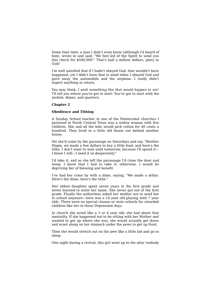Some time later, a man I didn't even know (although I'd heard of him), wrote in and said, "We feel led of the Spirit to send you this check for \$500,000." That's half a million dollars, glory to God!

I'm well satisfied that if I hadn't obeyed God, that wouldn't have happened, yet I didn't have that in mind when I obeyed God and gave away the automobile and the airplane. I really didn't expect anything in return.

You may think, *I wish something like that would happen to me!* I'll tell you where you've got to start: You've got to start with the nickels, dimes, and quarters.

#### **Chapter 2**

#### **Obedience and Tithing**

A Sunday School teacher in one of the Pentecostal churches I pastored in North Central Texas was a widow woman with five children. She and all the kids would pick cotton for 40 cents a hundred. They lived in a little old house out behind another house.

Yet she'd come by the parsonage on Saturdays and say, "Brother Hagin, we made a few dollars to buy a little food, and here's the tithe. I don't want to wait until tomorrow, because I'll spend it— I know I will—I need it so desperately."

I'd take it, and as she left the parsonage I'd close the door and weep. I knew that I had to take it; otherwise, I would be depriving her of blessing and benefit.

I've had her come by with a dime, saying, "We made a dollar. Here's the dime; here's the tithe."

Her oldest daughter spent seven years in the first grade and never learned to write her name. She never got out of the first grade. Finally the authorities asked her mother not to send her to school anymore—here was a 14 year old playing with 7 year olds. There were no special classes or state schools for retarded children like her in those Depression days.

In church she acted like a 3 or 4 year old; she had about that mentality. If she happened not to be sitting with her Mother and wanted to get up where she was, she would actually get down and scoot along on her stomach under the pews to get up front.

Then she would stretch out on the pew like a little kid and go to sleep.

One night during a revival, this girl went up to the altar (nobody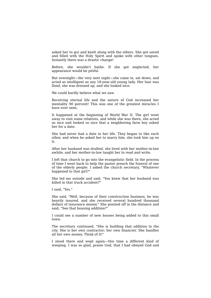asked her to go) and knelt along with the others. She got saved and filled with the Holy Spirit and spoke with other tongues. Instantly there was a drastic change!

Before, she wouldn't bathe. If she got neglected, her appearance would be pitiful.

But overnight—the very next night—she came in, sat down, and acted as intelligent as any 18-year-old young lady. Her hair was fixed, she was dressed up, and she looked nice.

We could hardly believe what we saw.

Receiving eternal life and the nature of God increased her mentality 90 percent! This was one of the greatest miracles I have ever seen.

It happened at the beginning of World War II. The girl went away to visit some relatives, and while she was there, she acted so nice and looked so nice that a neighboring farm boy asked her for a date.

She had never had a date in her life. They began to like each other, and when he asked her to marry him, she took him up on it.

After her husband was drafted, she lived with her mother-in-law awhile, and her mother-in-law taught her to read and write.

I left that church to go into the evangelistic field. In the process of time I went back to help the pastor preach the funeral of one of the elderly people. I asked the church secretary, "Whatever happened to that girl?"

She led me outside and said, "You knew that her husband was killed in that truck accident?"

I said, "Yes."

She said, "Well, because of their construction business, he was heavily insured, and she received several hundred thousand dollars of insurance money." She pointed off in the distance and said, "See that housing addition?"

I could see a number of new houses being added to this small town.

The secretary continued, "She is building that addition to the city. She is her own contractor; her own financier. She handles all her own money. Think of it!"

I stood there and wept again—this time a different kind of weeping. I was so glad, praise God, that I had obeyed God and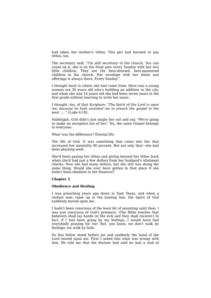had taken her mother's tithes. This girl had learned to pay tithes, too.

The secretary said, "I'm still secretary of the church. You can count on it, she is on the front pew every Sunday with her two little children. They are the best-dressed, best-mannered children in the church. Her envelope with her tithes and offerings is always there. Every Sunday."

I thought back to where she had come from: Here was a young woman not 30 years old who's building an addition to the city, and when she was 14 years old she had been seven years in the first grade without learning to write her name.

I thought, too, of that Scripture, *"The Spirit of the Lord is upon me, because he hath anointed me to preach the gospel to the poor .... "* (Luke 4:18).

Hallelujah, God didn't just single her out and say, "We're going to make an exception out of her." No, the same Gospel belongs to everyone.

What was the difference? Eternal life.

The life of God. It was something that came into her that increased her mentality 90 percent. But not only that—she had been planting seed.

She'd been paying her tithes and giving beyond her tithes back when she'd had just a few dollars from her husband's allotment checks. Now she had many dollars, but she still was doing the same thing. Would she ever have gotten to that place if she hadn't been obedient in her finances?

#### **Chapter 3**

## **Obedience and Healing**

I was preaching years ago down in East Texas, and when a certain man came up in the healing line, the Spirit of God suddenly moved upon me.

I hadn't been conscious of the least bit of anointing until then; I was just conscious of God's presence. (The Bible teaches that believers shall lay hands on the sick and they shall recover.) In fact, if I had been going by my feelings, I would have had everybody praying for *me!* But, you know, we don't walk by feelings; we walk by faith.

So this fellow stood before me and suddenly the hand of the Lord moved upon me. First I asked him what was wrong with him. He told me that the doctors had said he had a wad of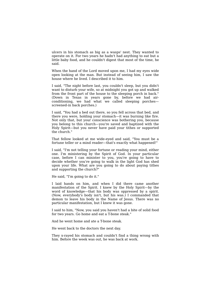ulcers in his stomach as big as a wasps' nest. They wanted to operate on it. For two years he hadn't had anything to eat but a little baby food, and he couldn't digest that most of the time, he said.

When the hand of the Lord moved upon me, I had my eyes wide open looking at the man. But instead of seeing him, I saw the house where he lived. I described it to him.

I said, "The night before last, you couldn't sleep, but you didn't want to disturb your wife, so at midnight you got up and walked from the front part of the house to the sleeping porch in back." (Down in Texas in years gone by, before we had airconditioning, we had what we called sleeping porches screened-in back porches.)

I said, "You had a bed out there, so you fell across that bed, and there you were, holding your stomach—it was burning like fire. Not only that, but your conscience was bothering you, because you belong to this church—you're saved and baptized with the Holy Spirit—but you never have paid your tithes or supported the church."

That fellow looked at me wide-eyed and said, "You must be a fortune teller or a mind reader—that's exactly what happened!"

I said, "I'm not telling your fortune or reading your mind, either one. I'm ministering by the Spirit of God. In your particular case, before I can minister to you, you're going to have to decide whether you're going to walk in the light God has shed upon your life. What are you going to do about paying tithes and supporting the church?"

He said, "I'm going to do it."

I laid hands on him, and when I did there came another manifestation of the Spirit. I knew by the Holy Spirit—by the word of knowledge—that his body was oppressed by a spirit. (Now, everybody's body isn't, but his was.) I commanded that demon to leave his body in the Name of Jesus. There was no particular manifestation, but I knew it was gone.

I said to him, "Now, you said you haven't had a bite of solid food for two years. Go home and eat a T-bone steak."

And he went home and ate a T-bone steak.

He went back to the doctors the next day.

They x-rayed his stomach and couldn't find a thing wrong with him. Before the week was out, he was back at work.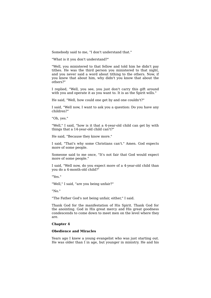Somebody said to me, "I don't understand that."

"What is it you don't understand?"

"Well, you ministered to that fellow and told him he didn't pay tithes. He was the third person you ministered to that night, and you never said a word about tithing to the others. Now, if you knew that about him, why didn't you know that about the others?"

I replied, "Well, you see, you just don't carry this gift around with you and operate it as you want to. It is as the Spirit wills."

He said, "Well, how could one get by and one couldn't?"

I said, "Well now, I want to ask you a question: Do you have any children?"

"Oh, yes."

"Well," I said, "how is it that a 4-year-old child can get by with things that a 14-year-old child can't?"

He said, "Because they know more."

I said, "That's why some Christians can't." Amen. God expects more of some people.

Someone said to me once, "It's not fair that God would expect more of some people."

I said, "Well now, do you expect more of a 4-year-old child than you do a 4-month-old child?"

"Yes."

"Well," I said, "are you being unfair?"

"No."

"The Father God's not being unfair, either," I said.

Thank God for the manifestation of His Spirit. Thank God for the anointing. God in His great mercy and His great goodness condescends to come down to meet men on the level where they are.

### **Chapter 4**

## **Obedience and Miracles**

Years ago I knew a young evangelist who was just starting out. He was older than I in age, but younger in ministry. He and his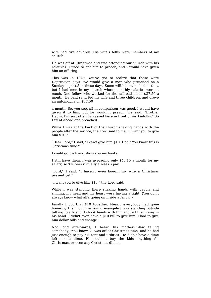wife had five children. His wife's folks were members of my church.

He was off at Christmas and was attending our church with his relatives. I tried to get him to preach, and I would have given him an offering.

This was in 1940. You've got to realize that those were Depression days. We would give a man who preached on a Sunday night \$5 in those days. Some will be astonished at that, but I had men in my church whose monthly salaries weren't much. One fellow who worked for the railroad made \$37.50 a month. He paid rent, fed his wife and three children, and drove an automobile on \$37.50

a month. So, you see, \$5 in comparison was good. I would have given it to him, but he wouldn't preach. He said, "Brother Hagin, I'm sort of embarrassed here in front of my kinfolks." So I went ahead and preached.

While I was at the back of the church shaking hands with the people after the service, the Lord said to me, "I want you to give him \$10."

"Dear Lord," I said, "I can't give him \$10. Don't You know this is Christmas time?"

I could go back and show you my books.

I still have them. I was averaging only \$43.15 a month for my salary, so \$10 was virtually a week's pay.

"Lord," I said, "I haven't even bought my wife a Christmas present yet!"

"I want you to give him \$10," the Lord said.

While I was standing there shaking hands with people and smiling, my head and my heart were having a fight. (You don't always know what all's going on inside a fellow!)

Finally I got that \$10 together. Nearly everybody had gone home by then, but the young evangelist was standing outside talking to a friend. I shook hands with him and left the money in his hand. I didn't even have a \$10 bill to give him. I had to give him dollar bills and change.

Not long afterwards, I heard his mother-in-law telling somebody, "You know, C. was off at Christmas time, and he had just enough to pay his rent and utilities. He didn't have a dime left—not a dime. He couldn't buy the kids anything for Christmas, or even any Christmas dinner.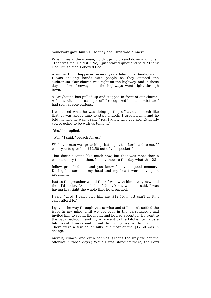Somebody gave him \$10 so they had Christmas dinner."

When I heard the woman, I didn't jump up and down and holler, "That was me! I did it!" No, I just stayed quiet and said, "Thank God. I'm so glad I obeyed God."

A similar thing happened several years later. One Sunday night I was shaking hands with people as they entered the auditorium. Our church was right on the highway, and in those days, before freeways, all the highways went right through town.

A Greyhound bus pulled up and stopped in front of our church. A fellow with a suitcase got off. I recognized him as a minister I had seen at conventions.

I wondered what he was doing getting off at our church like that. It was about time to start church. I greeted him and he told me who he was. I said, "Yes, I know who you are. Evidently you're going to be with us tonight."

"Yes," he replied.

"Well," I said, "preach for us."

While the man was preaching that night, the Lord said to me, "I want you to give him \$12.50 out of your pocket."

That doesn't sound like much now, but that was more than a week's salary to me then. I don't know to this day what that 28

fellow preached on—and you know I have a good memory! During his sermon, my head and my heart were having an argument.

Just so the preacher would think I was with him, every now and then I'd holler, "Amen"—but I don't know what he said. I was having that fight the whole time he preached.

I said, "Lord, I can't give him any \$12.50. I just can't do it! I can't afford to."

I got all the way through that service and still hadn't settled the issue in my mind until we got over in the parsonage. I had invited him to spend the night, and he had accepted. He went to the back bedroom, and my wife went to the kitchen to fix us a bite to eat. I was counting out the money to give the preacher. There were a few dollar bills, but most of the \$12.50 was in change—

nickels, climes, and even pennies. (That's the way we got the offering in those days.) While I was standing there, the Lord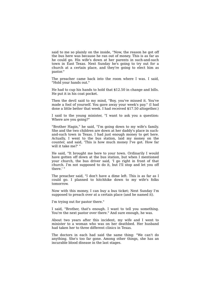said to me so plainly on the inside, "Now, the reason he got off the bus here was because he ran out of money. This is as far as he could go. His wife's down at her parents in such-and-such town in East Texas. Next Sunday he's going to try out for a church at a certain place, and they're going to elect him as pastor."

The preacher came back into the room where I was. I said, "Hold your hands out."

He had to cup his hands to hold that \$12.50 in change and bills. He put it in his coat pocket.

Then the devil said to my mind, "Boy, you've missed it. You've made a fool of yourself. You gave away your week's pay." (I had done a little better that week. I had received \$17.50 altogether.)

I said to the young minister, "I want to ask you a question: Where are you going?"

"Brother Hagin," he said, "I'm going down to my wife's family. She and the two children are down at her daddy's place in suchand-such town in Texas. I had just enough money to get here. Actually, I went to the bus station, laid my money on the counter, and said, 'This is how much money I've got. How far will it take me?' "

He said, "It brought me here to your town. Ordinarily I would have gotten off down at the bus station, but when I mentioned your church, the bus driver said, 'I go right in front of that church. I'm not supposed to do it, but I'll stop and let you off there.' "

The preacher said, "I don't have a dime left. This is as far as I could go. I planned to hitchhike down to my wife's folks tomorrow.

Now with this money, I can buy a bus ticket; Next Sunday I'm supposed to preach over at a certain place (and he named it).

I'm trying out for pastor there."

I said, "Brother, that's enough. I want to tell you something. You're the next pastor over there." And sure enough, he was.

About two years after this incident, my wife and I went to minister to a woman who was on her deathbed. Her husband had taken her to three different clinics in Texas.

The doctors in each had said the same thing: "We can't do anything. She's too far gone. Among other things, she has an incurable blood disease in the last stages.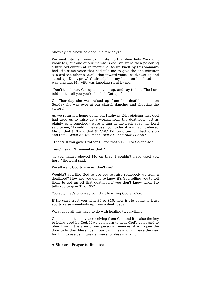She's dying. She'll be dead in a few days."

We went into her room to minister to that dear lady. We didn't know her, but one of our members did. We were then pastoring a little old church at Farmersville. As we knelt by this woman's bed, the same voice that had told me to give the one minister \$10 and the other \$12.50—that inward voice—said, "Get up and stand up. Don't pray." (I already had my hand on her head and was praying. My wife was kneeling right by me.)

"Don't touch her. Get up and stand up, and say to her, 'The Lord told me to tell you you're healed. Get up.'"

On Thursday she was raised up from her deathbed and on Sunday she was over at our church dancing and shouting the victory!

As we returned home down old Highway 24, rejoicing that God had used us to raise up a woman from the deathbed, just as plainly as if somebody were sitting in the back seat, the Lord said to me, "I couldn't have used you today if you hadn't obeyed Me on that \$10 and that \$12.50." I'd forgotten it. I had to stop and think, *What do You mean, that \$10 and that \$12.50?*

"That \$10 you gave Brother C. and that \$12.50 to So-and-so."

"Yes," I said, "I remember that."

"If you hadn't obeyed Me on that, I couldn't have used you here," the Lord said.

We all want God to use us, don't we?

Wouldn't you like God to use you to raise somebody up from a deathbed? How are you going to know it's God telling you to tell them to get up off that deathbed if you don't know when He tells you to give \$1 or \$5?

You see, that's one way you start learning God's voice.

If He can't trust you with \$5 or \$10, how is He going to trust you to raise somebody up from a deathbed?

What does all this have to do with healing? Everything.

Obedience is the key to receiving from God and it is also the key to being used by God. If we can learn to hear God's voice and to obey Him in the area of our personal finances, it will open the door to further blessings in our own lives and will pave the way for Him to use us in greater ways to bless mankind.

#### **A Sinner's Prayer to Receive**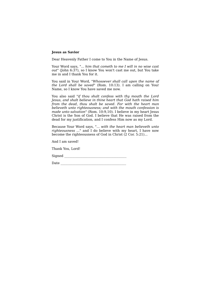#### **Jesus as Savior**

Dear Heavenly Father I come to You in the Name of Jesus.

Your Word says, *"... him that cometh to me I will in no wise cast out"* (John 6:37), so I know You won't cast me out, but You take me in and I thank You for it.

You said in Your Word, *"Whosoever shall call upon the name of the Lord shall be saved"* (Rom. 10:13). I am calling on Your Name, so I know You have saved me now.

You also said *"if thou shalt confess with thy mouth the Lord Jesus, and shalt believe in thine heart that God hath raised him from the dead, thou shalt be saved. For with the heart man believeth unto righteousness; and with the mouth confession is made unto salvation"* (Rom. 10:9,10). I believe in my heart Jesus Christ is the Son of God. I believe that He was raised from the dead for my justification, and I confess Him now as my Lord.

Because Your Word says, *"... with the heart man believeth unto righteousness ..."* and I do believe with my heart, I have now become the righteousness of God in Christ (2 Cor. 5:21)...

And I am saved!

Thank You, Lord!

 $\begin{minipage}[c]{0.9\linewidth} \label{eq:1} \begin{minipage}[c]{0.9\linewidth} \end{minipage}[c]{0.9\linewidth} \begin{minipage}[c]{0.9\linewidth} \end{minipage}[c]{0.9\linewidth} \begin{minipage}[c]{0.9\linewidth} \end{minipage}[c]{0.9\linewidth} \begin{minipage}[c]{0.9\linewidth} \end{minipage}[c]{0.9\linewidth} \end{minipage}[c]{0.9\linewidth} \begin{minipage}[c]{0.9\linewidth} \end{minipage}[c]{0.9\linewidth} \begin{minipage}[c]{0.9\linewidth} \end{minipage}[c]{0.9\linewidth} \end{$ 

Date  $\_\_$